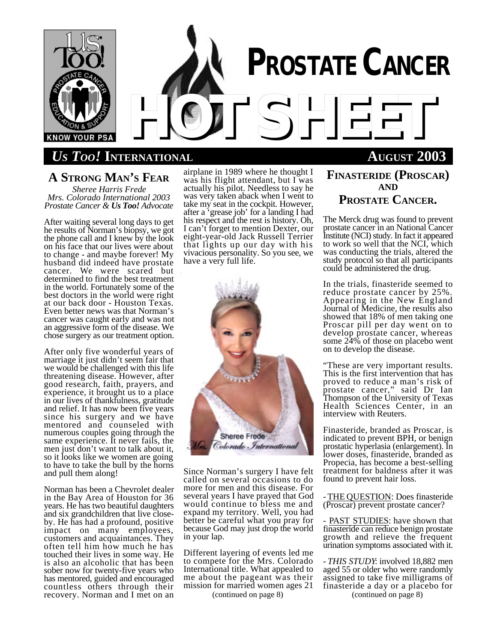

# *US TOO!* **INTERNATIONAL AUGUST 2003**

# **A STRONG MAN'S FEAR**

*Sheree Harris Frede Mrs. Colorado International 2003 Prostate Cancer & Us Too! Advocate*

After waiting several long days to get he results of Norman's biopsy, we got the phone call and I knew by the look on his face that our lives were about to change - and maybe forever! My husband did indeed have prostate cancer. We were scared but determined to find the best treatment in the world. Fortunately some of the best doctors in the world were right at our back door - Houston Texas. Even better news was that Norman's cancer was caught early and was not an aggressive form of the disease. We chose surgery as our treatment option.

After only five wonderful years of marriage it just didn't seem fair that we would be challenged with this life threatening disease. However, after good research, faith, prayers, and experience, it brought us to a place in our lives of thankfulness, gratitude and relief. It has now been five years since his surgery and we have mentored and counseled with numerous couples going through the same experience. It never fails, the men just don't want to talk about it, so it looks like we women are going to have to take the bull by the horns and pull them along!

Norman has been a Chevrolet dealer in the Bay Area of Houston for 36 years. He has two beautiful daughters and six grandchildren that live closeby. He has had a profound, positive impact on many employees, customers and acquaintances. They often tell him how much he has touched their lives in some way. He is also an alcoholic that has been sober now for twenty-five years who has mentored, guided and encouraged countless others through their recovery. Norman and I met on an

airplane in 1989 where he thought I was his flight attendant, but I was actually his pilot. Needless to say he was very taken aback when I went to take my seat in the cockpit. However, after a 'grease job' for a landing I had his respect and the rest is history. Oh, I can't forget to mention Dexter, our eight-year-old Jack Russell Terrier that lights up our day with his vivacious personality. So you see, we have a very full life.



Since Norman's surgery I have felt called on several occasions to do more for men and this disease. For several years I have prayed that God would continue to bless me and expand my territory. Well, you had better be careful what you pray for because God may just drop the world in your lap.

Different layering of events led me to compete for the Mrs. Colorado International title. What appealed to me about the pageant was their mission for married women ages 21

(continued on page 8)

## **FINASTERIDE (PROSCAR) AND PROSTATE CANCER.**

The Merck drug was found to prevent prostate cancer in an National Cancer Institute (NCI) study. In fact it appeared to work so well that the NCI, which was conducting the trials, altered the study protocol so that all participants could be administered the drug.

In the trials, finasteride seemed to reduce prostate cancer by 25%. Appearing in the New England Journal of Medicine, the results also showed that 18% of men taking one Proscar pill per day went on to develop prostate cancer, whereas some 24% of those on placebo went on to develop the disease.

"These are very important results. This is the first intervention that has proved to reduce a man's risk of prostate cancer," said Dr Ian Thompson of the University of Texas Health Sciences Center, in an interview with Reuters.

Finasteride, branded as Proscar, is indicated to prevent BPH, or benign prostatic hyperlasia (enlargement). In lower doses, finasteride, branded as Propecia, has become a best-selling treatment for baldness after it was found to prevent hair loss.

- THE QUESTION: Does finasteride (Proscar) prevent prostate cancer?

- PAST STUDIES: have shown that finasteride can reduce benign prostate growth and relieve the frequent urination symptoms associated with it.

- *THIS STUDY*: involved 18,882 men aged 55 or older who were randomly assigned to take five milligrams of finasteride a day or a placebo for (continued on page 8)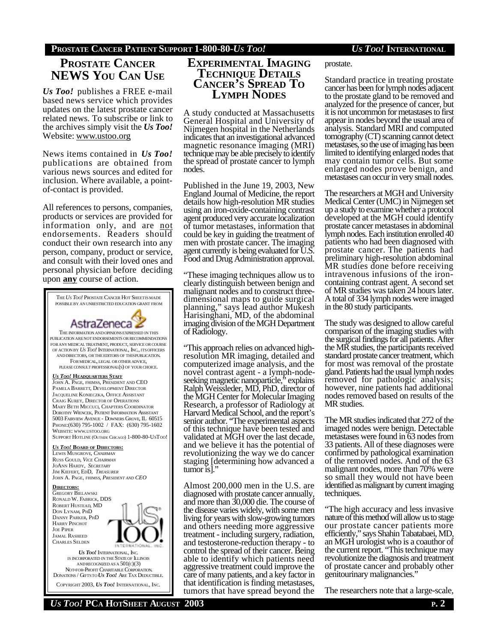# **PROSTATE CANCER NEWS YOU CAN USE**

*Us Too!* publishes a FREE e-mail based news service which provides updates on the latest prostate cancer related news. To subscribe or link to the archives simply visit the *Us Too!* Website: www.ustoo.org

News items contained in *Us Too!* publications are obtained from various news sources and edited for inclusion. Where available, a pointof-contact is provided.

All references to persons, companies, products or services are provided for information only, and are not endorsements. Readers should conduct their own research into any person, company, product or service, and consult with their loved ones and personal physician before deciding upon **any** course of action.



COPYRIGHT 2003, *US TOO!* INTERNATIONAL, INC.

## **EXPERIMENTAL IMAGING TECHNIQUE DETAILS CANCER'S SPREAD TO LYMPH NODES**

A study conducted at Massachusetts General Hospital and University of Nijmegen hospital in the Netherlands indicates that an investigational advanced magnetic resonance imaging (MRI) technique may be able precisely to identify the spread of prostate cancer to lymph nodes.

Published in the June 19, 2003, New England Journal of Medicine, the report details how high-resolution MR studies using an iron-oxide-containing contrast agent produced very accurate localization of tumor metastases, information that could be key in guiding the treatment of men with prostate cancer. The imaging agent currently is being evaluated for U.S. Food and Drug Administration approval.

"These imaging techniques allow us to clearly distinguish between benign and malignant nodes and to construct threedimensional maps to guide surgical planning," says lead author Mukesh Harisinghani, MD, of the abdominal imaging division of the MGH Department of Radiology.

"This approach relies on advanced highresolution MR imaging, detailed and computerized image analysis, and the novel contrast agent - a lymph-nodeseeking magnetic nanoparticle," explains Ralph Weissleder, MD, PhD, director of the MGH Center for Molecular Imaging Research, a professor of Radiology at Harvard Medical School, and the report's senior author. "The experimental aspects of this technique have been tested and validated at MGH over the last decade, and we believe it has the potential of revolutionizing the way we do cancer staging [determining how advanced a tumor is].

Almost 200,000 men in the U.S. are diagnosed with prostate cancer annually, and more than 30,000 die. The course of the disease varies widely, with some men living for years with slow-growing tumors and others needing more aggressive treatment - including surgery, radiation, and testosterone-reduction therapy - to control the spread of their cancer. Being able to identify which patients need aggressive treatment could improve the care of many patients, and a key factor in that identification is finding metastases, tumors that have spread beyond the

prostate.

Standard practice in treating prostate cancer has been for lymph nodes adjacent to the prostate gland to be removed and analyzed for the presence of cancer, but it is not uncommon for metastases to first appear in nodes beyond the usual area of analysis. Standard MRI and computed tomography (CT) scanning cannot detect metastases, so the use of imaging has been limited to identifying enlarged nodes that may contain tumor cells. But some enlarged nodes prove benign, and metastases can occur in very small nodes.

The researchers at MGH and University Medical Center (UMC) in Nijmegen set up a study to examine whether a protocol developed at the MGH could identify prostate cancer metastases in abdominal lymph nodes. Each institution enrolled 40 patients who had been diagnosed with prostate cancer. The patients had preliminary high-resolution abdominal MR studies done before receiving intravenous infusions of the ironcontaining contrast agent. A second set of MR studies was taken 24 hours later. A total of 334 lymph nodes were imaged in the 80 study participants.

The study was designed to allow careful comparison of the imaging studies with the surgical findings for all patients. After the MR studies, the participants received standard prostate cancer treatment, which for most was removal of the prostate gland. Patients had the usual lymph nodes removed for pathologic analysis; however, nine patients had additional nodes removed based on results of the MR studies.

The MR studies indicated that 272 of the imaged nodes were benign. Detectable metastases were found in 63 nodes from 33 patients. All of these diagnoses were confirmed by pathological examination of the removed nodes. And of the 63 malignant nodes, more than 70% were so small they would not have been identified as malignant by current imaging techniques.

"The high accuracy and less invasive nature of this method will allow us to stage our prostate cancer patients more efficiently," says Shahin Tabatabaei, MD, an MGH urologist who is a coauthor of the current report. "This technique may revolutionize the diagnosis and treatment of prostate cancer and probably other genitourinary malignancies."

The researchers note that a large-scale,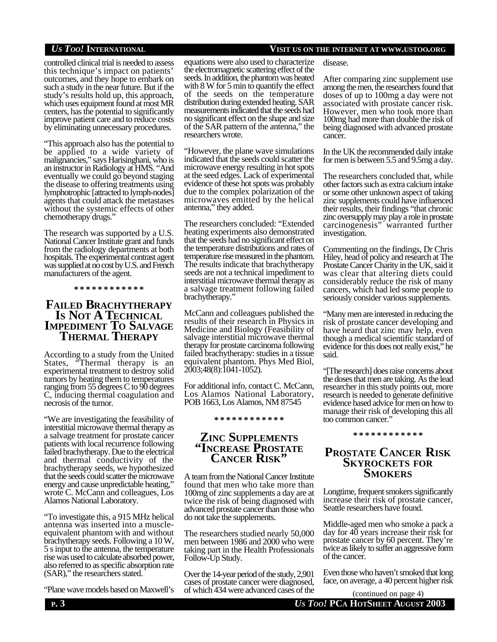controlled clinical trial is needed to assess this technique's impact on patients' outcomes, and they hope to embark on such a study in the near future. But if the study's results hold up, this approach, which uses equipment found at most MR centers, has the potential to significantly improve patient care and to reduce costs by eliminating unnecessary procedures.

"This approach also has the potential to be applied to a wide variety of malignancies," says Harisinghani, who is an instructor in Radiology at HMS. "And eventually we could go beyond staging the disease to offering treatments using lymphotrophic [attracted to lymph-nodes] agents that could attack the metastases without the systemic effects of other chemotherapy drugs."

The research was supported by a U.S. National Cancer Institute grant and funds from the radiology departments at both hospitals. The experimental contrast agent was supplied at no cost by U.S. and French manufacturers of the agent.

**\* \* \* \* \* \* \* \* \* \* \* \***

## **FAILED BRACHYTHERAPY IS NOT A TECHNICAL IMPEDIMENT TO SALVAGE THERMAL THERAPY**

According to a study from the United States, "Thermal therapy is an experimental treatment to destroy solid tumors by heating them to temperatures ranging from 55 degrees C to 90 degrees C, inducing thermal coagulation and necrosis of the tumor.

"We are investigating the feasibility of interstitial microwave thermal therapy as a salvage treatment for prostate cancer patients with local recurrence following failed brachytherapy. Due to the electrical and thermal conductivity of the brachytherapy seeds, we hypothesized that the seeds could scatter the microwave energy and cause unpredictable heating," wrote C. McCann and colleagues, Los Alamos National Laboratory.

"To investigate this, a 915 MHz helical antenna was inserted into a muscleequivalent phantom with and without brachytherapy seeds. Following a 10 W, 5 s input to the antenna, the temperature rise was used to calculate absorbed power, also referred to as specific absorption rate (SAR)," the researchers stated.

"Plane wave models based on Maxwell's

### *US TOO!* **INTERNATIONAL VISIT US ON THE INTERNET AT WWW.USTOO.ORG**

equations were also used to characterize the electromagnetic scattering effect of the seeds. In addition, the phantom was heated with 8 W for 5 min to quantify the effect of the seeds on the temperature distribution during extended heating. SAR measurements indicated that the seeds had no significant effect on the shape and size of the SAR pattern of the antenna," the researchers wrote.

"However, the plane wave simulations indicated that the seeds could scatter the microwave energy resulting in hot spots at the seed edges. Lack of experimental evidence of these hot spots was probably due to the complex polarization of the microwaves emitted by the helical antenna," they added.

The researchers concluded: "Extended heating experiments also demonstrated that the seeds had no significant effect on the temperature distributions and rates of temperature rise measured in the phantom. The results indicate that brachytherapy seeds are not a technical impediment to interstitial microwave thermal therapy as a salvage treatment following failed brachytherapy."

McCann and colleagues published the results of their research in Physics in Medicine and Biology (Feasibility of salvage interstitial microwave thermal therapy for prostate carcinoma following failed brachytherapy: studies in a tissue equivalent phantom. Phys Med Biol, 2003;48(8):1041-1052).

For additional info, contact C. McCann, Los Alamos National Laboratory, POB 1663, Los Alamos, NM 87545

### **\* \* \* \* \* \* \* \* \* \* \* \***

## **ZINC SUPPLEMENTS "INCREASE PROSTATE CANCER RISK"**

A team from the National Cancer Institute found that men who take more than 100mg of zinc supplements a day are at twice the risk of being diagnosed with advanced prostate cancer than those who do not take the supplements.

The researchers studied nearly 50,000 men between 1986 and 2000 who were taking part in the Health Professionals Follow-Up Study.

Over the 14-year period of the study, 2,901 cases of prostate cancer were diagnosed, of which 434 were advanced cases of the

disease.

After comparing zinc supplement use among the men, the researchers found that doses of up to 100mg a day were not associated with prostate cancer risk. However, men who took more than 100mg had more than double the risk of being diagnosed with advanced prostate cancer.

In the UK the recommended daily intake for men is between 5.5 and 9.5mg a day.

The researchers concluded that, while other factors such as extra calcium intake or some other unknown aspect of taking zinc supplements could have influenced their results, their findings "that chronic zinc oversupply may play a role in prostate carcinogenesis" warranted further investigation.

Commenting on the findings, Dr Chris Hiley, head of policy and research at The Prostate Cancer Charity in the UK, said it was clear that altering diets could considerably reduce the risk of many cancers, which had led some people to seriously consider various supplements.

"Many men are interested in reducing the risk of prostate cancer developing and have heard that zinc may help, even though a medical scientific standard of evidence for this does not really exist," he said.

"[The research] does raise concerns about the doses that men are taking. As the lead researcher in this study points out, more research is needed to generate definitive evidence based advice for men on how to manage their risk of developing this all too common cancer."

#### **\* \* \* \* \* \* \* \* \* \* \* \***

## **PROSTATE CANCER RISK SKYROCKETS FOR SMOKERS**

Longtime, frequent smokers significantly increase their risk of prostate cancer, Seattle researchers have found.

Middle-aged men who smoke a pack a day for 40 years increase their risk for prostate cancer by 60 percent. They're twice as likely to suffer an aggressive form of the cancer.

Even those who haven't smoked that long face, on average, a 40 percent higher risk

**P. 3** *US TOO!* **PCA HOTSHEET AUGUST 2003** (continued on page 4)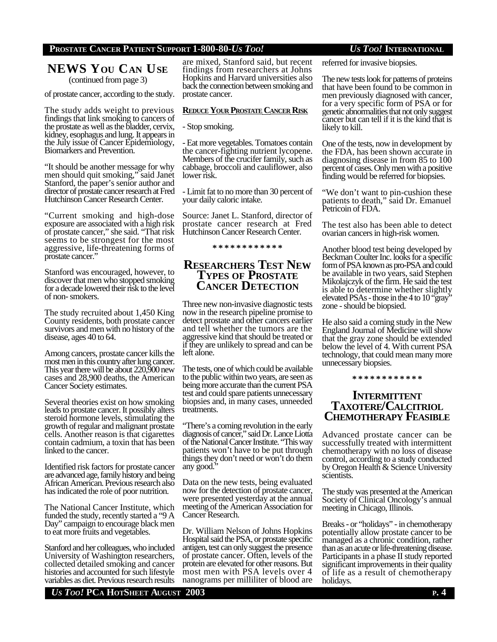### **PROSTATE CANCER PATIENT SUPPORT 1-800-80-***US TOO! US TOO!* **INTERNATIONAL**

# **NEWS YOU CAN USE**

(continued from page 3)

of prostate cancer, according to the study.

The study adds weight to previous findings that link smoking to cancers of the prostate as well as the bladder, cervix, kidney, esophagus and lung. It appears in the July issue of Cancer Epidemiology, Biomarkers and Prevention.

"It should be another message for why men should quit smoking," said Janet Stanford, the paper's senior author and director of prostate cancer research at Fred Hutchinson Cancer Research Center.

"Current smoking and high-dose exposure are associated with a high risk of prostate cancer," she said. "That risk seems to be strongest for the most aggressive, life-threatening forms of prostate cancer."

Stanford was encouraged, however, to discover that men who stopped smoking for a decade lowered their risk to the level of non- smokers.

The study recruited about 1,450 King County residents, both prostate cancer survivors and men with no history of the disease, ages 40 to 64.

Among cancers, prostate cancer kills the most men in this country after lung cancer. This year there will be about 220,900 new cases and 28,900 deaths, the American Cancer Society estimates.

Several theories exist on how smoking leads to prostate cancer. It possibly alters steroid hormone levels, stimulating the growth of regular and malignant prostate cells. Another reason is that cigarettes contain cadmium, a toxin that has been linked to the cancer.

Identified risk factors for prostate cancer are advanced age, family history and being African American. Previous research also has indicated the role of poor nutrition.

The National Cancer Institute, which funded the study, recently started a "9 A Day" campaign to encourage black men to eat more fruits and vegetables.

Stanford and her colleagues, who included University of Washington researchers, collected detailed smoking and cancer histories and accounted for such lifestyle variables as diet. Previous research results are mixed, Stanford said, but recent findings from researchers at Johns Hopkins and Harvard universities also back the connection between smoking and prostate cancer.

### **REDUCEYOUR PROSTATECANCER RISK**

- Stop smoking.

- Eat more vegetables. Tomatoes contain the cancer-fighting nutrient lycopene. Members of the crucifer family, such as cabbage, broccoli and cauliflower, also lower risk.

- Limit fat to no more than 30 percent of your daily caloric intake.

Source: Janet L. Stanford, director of prostate cancer research at Fred Hutchinson Cancer Research Center.

**\* \* \* \* \* \* \* \* \* \* \* \***

## **RESEARCHERS TEST NEW TYPES OF PROSTATE CANCER DETECTION**

Three new non-invasive diagnostic tests now in the research pipeline promise to detect prostate and other cancers earlier and tell whether the tumors are the aggressive kind that should be treated or if they are unlikely to spread and can be left alone.

The tests, one of which could be available to the public within two years, are seen as being more accurate than the current PSA test and could spare patients unnecessary biopsies and, in many cases, unneeded treatments.

"There's a coming revolution in the early diagnosis of cancer," said Dr. Lance Liotta of the National Cancer Institute. "This way patients won't have to be put through things they don't need or won't do them any good."

Data on the new tests, being evaluated now for the detection of prostate cancer, were presented yesterday at the annual meeting of the American Association for Cancer Research.

Dr. William Nelson of Johns Hopkins Hospital said the PSA, or prostate specific antigen, test can only suggest the presence of prostate cancer. Often, levels of the protein are elevated for other reasons. But most men with PSA levels over 4 nanograms per milliliter of blood are

referred for invasive biopsies.

The new tests look for patterns of proteins that have been found to be common in men previously diagnosed with cancer, for a very specific form of PSA or for genetic abnormalities that not only suggest cancer but can tell if it is the kind that is likely to kill.

One of the tests, now in development by the FDA, has been shown accurate in diagnosing disease in from 85 to 100 percent of cases. Only men with a positive finding would be referred for biopsies.

"We don't want to pin-cushion these patients to death," said Dr. Emanuel Petricoin of FDA.

The test also has been able to detect ovarian cancers in high-risk women.

Another blood test being developed by Beckman Coulter Inc. looks for a specific form of PSA known as pro-PSA and could be available in two years, said Stephen Mikolajczyk of the firm. He said the test is able to determine whether slightly elevated PSAs - those in the 4 to 10 "gray" zone - should be biopsied.

He also said a coming study in the New England Journal of Medicine will show that the gray zone should be extended below the level of 4. With current PSA technology, that could mean many more unnecessary biopsies.

**\* \* \* \* \* \* \* \* \* \* \* \***

## **INTERMITTENT TAXOTERE/CALCITRIOL CHEMOTHERAPY FEASIBLE**

Advanced prostate cancer can be successfully treated with intermittent chemotherapy with no loss of disease control, according to a study conducted by Oregon Health & Science University scientists.

The study was presented at the American Society of Clinical Oncology's annual meeting in Chicago, Illinois.

Breaks - or "holidays" - in chemotherapy potentially allow prostate cancer to be managed as a chronic condition, rather than as an acute or life-threatening disease. Participants in a phase II study reported significant improvements in their quality of life as a result of chemotherapy holidays.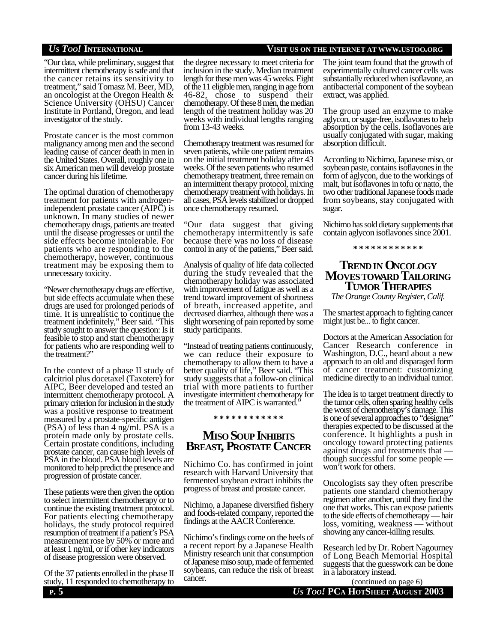"Our data, while preliminary, suggest that intermittent chemotherapy is safe and that the cancer retains its sensitivity to treatment," said Tomasz M. Beer, MD, an oncologist at the Oregon Health & Science University (OHSU) Cancer Institute in Portland, Oregon, and lead investigator of the study.

Prostate cancer is the most common malignancy among men and the second leading cause of cancer death in men in the United States. Overall, roughly one in six American men will develop prostate cancer during his lifetime.

The optimal duration of chemotherapy treatment for patients with androgenindependent prostate cancer (AIPC) is unknown. In many studies of newer chemotherapy drugs, patients are treated until the disease progresses or until the side effects become intolerable. For patients who are responding to the chemotherapy, however, continuous treatment may be exposing them to unnecessary toxicity.

"Newer chemotherapy drugs are effective, but side effects accumulate when these drugs are used for prolonged periods of time. It is unrealistic to continue the treatment indefinitely," Beer said. "This study sought to answer the question: Is it feasible to stop and start chemotherapy for patients who are responding well to the treatment?"

In the context of a phase II study of calcitriol plus docetaxel (Taxotere) for AIPC, Beer developed and tested an intermittent chemotherapy protocol. A primary criterion for inclusion in the study was a positive response to treatment measured by a prostate-specific antigen (PSA) of less than 4 ng/ml. PSA is a protein made only by prostate cells. Certain prostate conditions, including prostate cancer, can cause high levels of PSA in the blood. PSA blood levels are monitored to help predict the presence and progression of prostate cancer.

These patients were then given the option to select intermittent chemotherapy or to continue the existing treatment protocol. For patients electing chemotherapy holidays, the study protocol required resumption of treatment if a patient's PSA measurement rose by 50% or more and at least 1 ng/ml, or if other key indicators of disease progression were observed.

Of the 37 patients enrolled in the phase II study, 11 responded to chemotherapy to

### the degree necessary to meet criteria for inclusion in the study. Median treatment length for these men was 45 weeks. Eight of the 11 eligible men, ranging in age from 46-82, chose to suspend their chemotherapy. Of these 8 men, the median length of the treatment holiday was 20 weeks with individual lengths ranging from 13-43 weeks.

Chemotherapy treatment was resumed for seven patients, while one patient remains on the initial treatment holiday after 43 weeks. Of the seven patients who resumed chemotherapy treatment, three remain on an intermittent therapy protocol, mixing chemotherapy treatment with holidays. In all cases, PSA levels stabilized or dropped once chemotherapy resumed.

"Our data suggest that giving chemotherapy intermittently is safe because there was no loss of disease control in any of the patients," Beer said.

Analysis of quality of life data collected during the study revealed that the chemotherapy holiday was associated with improvement of fatigue as well as a trend toward improvement of shortness of breath, increased appetite, and decreased diarrhea, although there was a slight worsening of pain reported by some study participants.

"Instead of treating patients continuously, we can reduce their exposure to chemotherapy to allow them to have a better quality of life," Beer said. "This study suggests that a follow-on clinical trial with more patients to further investigate intermittent chemotherapy for the treatment of AIPC is warranted."

#### **\* \* \* \* \* \* \* \* \* \* \* \***

## **MISO SOUP INHIBITS BREAST, PROSTATE CANCER**

Nichimo Co. has confirmed in joint research with Harvard University that fermented soybean extract inhibits the progress of breast and prostate cancer.

Nichimo, a Japanese diversified fishery and foods-related company, reported the findings at the AACR Conference.

Nichimo's findings come on the heels of a recent report by a Japanese Health Ministry research unit that consumption of Japanese miso soup, made of fermented soybeans, can reduce the risk of breast cancer.

## *US TOO!* **INTERNATIONAL VISIT US ON THE INTERNET AT WWW.USTOO.ORG**

The joint team found that the growth of experimentally cultured cancer cells was substantially reduced when isoflavone, an antibacterial component of the soybean extract, was applied.

The group used an enzyme to make aglycon, or sugar-free, isoflavones to help absorption by the cells. Isoflavones are usually conjugated with sugar, making absorption difficult.

According to Nichimo, Japanese miso, or soybean paste, contains isoflavones in the form of aglycon, due to the workings of malt, but isoflavones in tofu or natto, the two other traditional Japanese foods made from soybeans, stay conjugated with sugar.

Nichimo has sold dietary supplements that contain aglycon isoflavones since 2001.

**\* \* \* \* \* \* \* \* \* \* \* \***

## **TRENDIN ONCOLOGY MOVESTOWARD TAILORING TUMOR THERAPIES**

*The Orange County Register, Calif.*

The smartest approach to fighting cancer might just be... to fight cancer.

Doctors at the American Association for Cancer Research conference in Washington, D.C., heard about a new approach to an old and disparaged form of cancer treatment: customizing medicine directly to an individual tumor.

The idea is to target treatment directly to the tumor cells, often sparing healthy cells the worst of chemotherapy's damage. This is one of several approaches to "designer" therapies expected to be discussed at the conference. It highlights a push in oncology toward protecting patients against drugs and treatments that though successful for some people won't work for others.

Oncologists say they often prescribe patients one standard chemotherapy regimen after another, until they find the one that works. This can expose patients to the side effects of chemotherapy — hair loss, vomiting, weakness — without showing any cancer-killing results.

Research led by Dr. Robert Nagourney of Long Beach Memorial Hospital suggests that the guesswork can be done in a laboratory instead.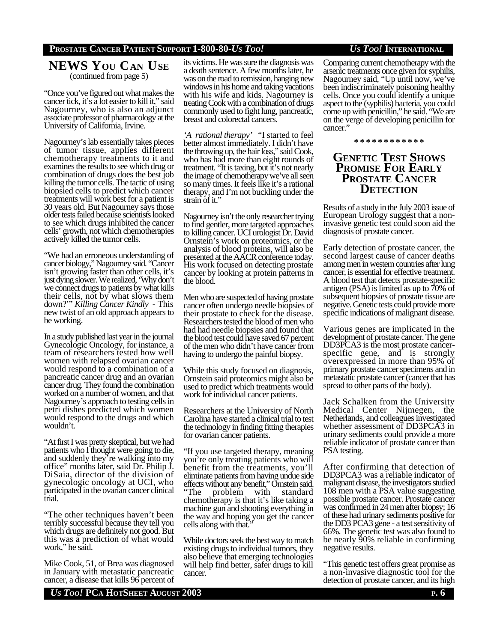## **PROSTATE CANCER PATIENT SUPPORT 1-800-80-***US TOO! US TOO!* **INTERNATIONAL**

## **NEWS YOU CAN USE** (continued from page 5)

"Once you've figured out what makes the cancer tick, it's a lot easier to kill it," said Nagourney, who is also an adjunct associate professor of pharmacology at the University of California, Irvine.

Nagourney's lab essentially takes pieces of tumor tissue, applies different chemotherapy treatments to it and examines the results to see which drug or combination of drugs does the best job killing the tumor cells. The tactic of using biopsied cells to predict which cancer treatments will work best for a patient is 30 years old. But Nagourney says those older tests failed because scientists looked to see which drugs inhibited the cancer cells' growth, not which chemotherapies actively killed the tumor cells.

"We had an erroneous understanding of cancer biology," Nagourney said. "Cancer isn't growing faster than other cells, it's just dying slower. We realized, 'Why don't we connect drugs to patients by what kills their cells, not by what slows them down?'" *Killing Cancer Kindly* - This new twist of an old approach appears to be working.

In a study published last year in the journal Gynecologic Oncology, for instance, a team of researchers tested how well women with relapsed ovarian cancer would respond to a combination of a pancreatic cancer drug and an ovarian cancer drug. They found the combination worked on a number of women, and that Nagourney's approach to testing cells in petri dishes predicted which women would respond to the drugs and which wouldn't.

"At first I was pretty skeptical, but we had patients who I thought were going to die, and suddenly they're walking into my office" months later, said Dr. Philip J. DiSaia, director of the division of gynecologic oncology at UCI, who participated in the ovarian cancer clinical trial.

"The other techniques haven't been terribly successful because they tell you which drugs are definitely not good. But this was a prediction of what would work," he said.

Mike Cook, 51, of Brea was diagnosed in January with metastatic pancreatic cancer, a disease that kills 96 percent of

its victims. He was sure the diagnosis was a death sentence. A few months later, he was on the road to remission, hanging new windows in his home and taking vacations with his wife and kids. Nagourney is treating Cook with a combination of drugs commonly used to fight lung, pancreatic, breast and colorectal cancers.

*'A rational therapy'* "I started to feel better almost immediately. I didn't have the throwing up, the hair loss," said Cook, who has had more than eight rounds of treatment. "It is taxing, but it's not nearly the image of chemotherapy we've all seen so many times. It feels like it's a rational therapy, and I'm not buckling under the strain of it."

Nagourney isn't the only researcher trying to find gentler, more targeted approaches to killing cancer. UCI urologist Dr. David Ornstein's work on proteomics, or the analysis of blood proteins, will also be presented at the AACR conference today. His work focused on detecting prostate cancer by looking at protein patterns in the blood.

Men who are suspected of having prostate cancer often undergo needle biopsies of their prostate to check for the disease. Researchers tested the blood of men who had had needle biopsies and found that the blood test could have saved 67 percent of the men who didn't have cancer from having to undergo the painful biopsy.

While this study focused on diagnosis, Ornstein said proteomics might also be used to predict which treatments would work for individual cancer patients.

Researchers at the University of North Carolina have started a clinical trial to test the technology in finding fitting therapies for ovarian cancer patients.

"If you use targeted therapy, meaning you're only treating patients who will benefit from the treatments, you'll eliminate patients from having undue side effects without any benefit," Ornstein said.<br>"The problem with standard problem with standard chemotherapy is that it's like taking a machine gun and shooting everything in the way and hoping you get the cancer cells along with that."

While doctors seek the best way to match existing drugs to individual tumors, they also believe that emerging technologies will help find better, safer drugs to kill cancer.

Comparing current chemotherapy with the arsenic treatments once given for syphilis, Nagourney said, "Up until now, we've been indiscriminately poisoning healthy cells. Once you could identify a unique aspect to the (syphilis) bacteria, you could come up with penicillin," he said. "We are on the verge of developing penicillin for cancer.

#### **\* \* \* \* \* \* \* \* \* \* \* \***

## **GENETIC TEST SHOWS PROMISE FOR EARLY PROSTATE CANCER DETECTION**

Results of a study in the July 2003 issue of European Urology suggest that a noninvasive genetic test could soon aid the diagnosis of prostate cancer.

Early detection of prostate cancer, the second largest cause of cancer deaths among men in western countries after lung cancer, is essential for effective treatment. A blood test that detects prostate-specific antigen (PSA) is limited as up to 70% of subsequent biopsies of prostate tissue are negative. Genetic tests could provide more specific indications of malignant disease.

Various genes are implicated in the development of prostate cancer. The gene DD3PCA3 is the most prostate cancerspecific gene, and is strongly overexpressed in more than 95% of primary prostate cancer specimens and in metastatic prostate cancer (cancer that has spread to other parts of the body).

Jack Schalken from the University Medical Center Nijmegen, the Netherlands, and colleagues investigated whether assessment of DD3PCA3 in urinary sediments could provide a more reliable indicator of prostate cancer than PSA testing.

After confirming that detection of DD3PCA3 was a reliable indicator of malignant disease, the investigators studied 108 men with a PSA value suggesting possible prostate cancer. Prostate cancer was confirmed in 24 men after biopsy; 16 of these had urinary sediments positive for the DD3 PCA3 gene - a test sensitivity of 66%. The genetic test was also found to be nearly 90% reliable in confirming negative results.

"This genetic test offers great promise as a non-invasive diagnostic tool for the detection of prostate cancer, and its high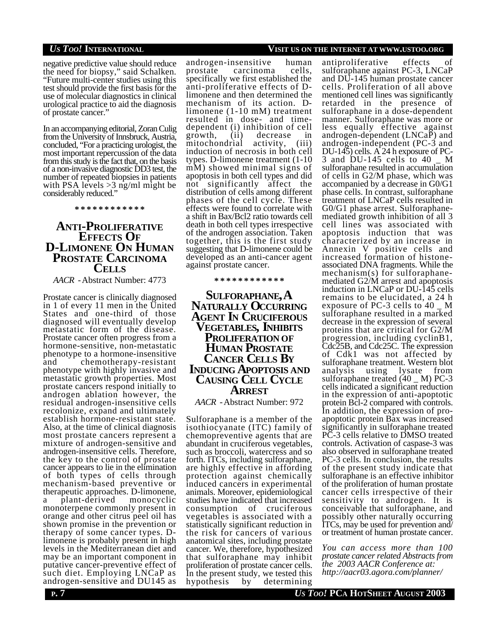negative predictive value should reduce the need for biopsy," said Schalken. "Future multi-center studies using this test should provide the first basis for the use of molecular diagnostics in clinical urological practice to aid the diagnosis of prostate cancer."

In an accompanying editorial, Zoran Culig from the University of Innsbruck, Austria, concluded, "For a practicing urologist, the most important repercussion of the data from this study is the fact that, on the basis of a non-invasive diagnostic DD3 test, the number of repeated biopsies in patients with PSA levels  $>3$  ng/ml might be considerably reduced."

**\* \* \* \* \* \* \* \* \* \* \* \***

## **ANTI-PROLIFERATIVE EFFECTS OF D-LIMONENE ON HUMAN PROSTATE CARCINOMA CELLS**

*AACR -* Abstract Number: 4773

Prostate cancer is clinically diagnosed in 1 of every 11 men in the United States and one-third of those diagnosed will eventually develop metastatic form of the disease. Prostate cancer often progress from a hormone-sensitive, non-metastatic phenotype to a hormone-insensitive and chemotherapy-resistant phenotype with highly invasive and metastatic growth properties. Most prostate cancers respond initially to androgen ablation however, the residual androgen-insensitive cells recolonize, expand and ultimately establish hormone-resistant state. Also, at the time of clinical diagnosis most prostate cancers represent a mixture of androgen-sensitive and androgen-insensitive cells. Therefore, the key to the control of prostate cancer appears to lie in the elimination of both types of cells through mechanism-based preventive or therapeutic approaches. D-limonene, a plant-derived monocyclic monoterpene commonly present in orange and other citrus peel oil has shown promise in the prevention or therapy of some cancer types. Dlimonene is probably present in high levels in the Mediterranean diet and may be an important component in putative cancer-preventive effect of such diet. Employing LNCaP as androgen-sensitive and DU145 as

## *US TOO!* **INTERNATIONAL VISIT US ON THE INTERNET AT WWW.USTOO.ORG**

androgen-insensitive human<br>prostate carcinoma cells, prostate carcinoma specifically we first established the anti-proliferative effects of Dlimonene and then determined the mechanism of its action. Dlimonene (1-10 mM) treatment resulted in dose- and timedependent (i) inhibition of cell growth, (ii) decrease in mitochondrial activity, (iii) induction of necrosis in both cell types. D-limonene treatment (1-10 mM) showed minimal signs of apoptosis in both cell types and did not significantly affect the distribution of cells among different phases of the cell cycle. These effects were found to correlate with a shift in Bax/Bcl2 ratio towards cell death in both cell types irrespective of the androgen association. Taken together, this is the first study suggesting that D-limonene could be developed as an anti-cancer agent against prostate cancer.

#### **\* \* \* \* \* \* \* \* \* \* \* \***

**SULFORAPHANE, A NATURALLY OCCURRING AGENT IN CRUCIFEROUS VEGETABLES, INHIBITS PROLIFERATION OF HUMAN PROSTATE CANCER CELLS BY INDUCING APOPTOSIS AND CAUSING CELL CYCLE ARREST**

### *AACR -* Abstract Number: 972

Sulforaphane is a member of the isothiocyanate (ITC) family of chemopreventive agents that are abundant in cruciferous vegetables, such as broccoli, watercress and so forth. ITCs, including sulforaphane, are highly effective in affording protection against chemically induced cancers in experimental animals. Moreover, epidemiological studies have indicated that increased consumption of cruciferous vegetables is associated with a statistically significant reduction in the risk for cancers of various anatomical sites, including prostate cancer. We, therefore, hypothesized that sulforaphane may inhibit proliferation of prostate cancer cells. In the present study, we tested this hypothesis by determining

antiproliferative effects of sulforaphane against PC-3, LNCaP and DU-145 human prostate cancer cells. Proliferation of all above mentioned cell lines was significantly retarded in the presence of sulforaphane in a dose-dependent manner. Sulforaphane was more or less equally effective against androgen-dependent (LNCaP) and androgen-independent (PC-3 and DU-145) cells.  $\angle$  A 24 h exposure of PC-<br>3 and DU-145 cells to 40 M 3 and DU-145 cells to  $40$ sulforaphane resulted in accumulation of cells in G2/M phase, which was accompanied by a decrease in G0/G1 phase cells. In contrast, sulforaphane treatment of LNCaP cells resulted in G0/G1 phase arrest. Sulforaphanemediated growth inhibition of all 3 cell lines was associated with apoptosis induction that was characterized by an increase in Annexin V positive cells and increased formation of histoneassociated DNA fragments. While the mechanism(s) for sulforaphanemediated G2/M arrest and apoptosis induction in LNCaP or DU-145 cells remains to be elucidated, a 24 h exposure of PC-3 cells to 40 \_ M sulforaphane resulted in a marked decrease in the expression of several proteins that are critical for G2/M progression, including cyclinB1, Cdc25B, and Cdc25C. The expression of Cdk1 was not affected by sulforaphane treatment. Western blot analysis using lysate from sulforaphane treated  $(40 \, \text{M})$  PC-3 cells indicated a significant reduction in the expression of anti-apoptotic protein Bcl-2 compared with controls. In addition, the expression of proapoptotic protein Bax was increased significantly in sulforaphane treated PC-3 cells relative to DMSO treated controls. Activation of caspase-3 was also observed in sulforaphane treated PC-3 cells. In conclusion, the results of the present study indicate that sulforaphane is an effective inhibitor of the proliferation of human prostate cancer cells irrespective of their sensitivity to androgen. It is conceivable that sulforaphane, and possibly other naturally occurring ITCs, may be used for prevention and/ or treatment of human prostate cancer.

*You can access more than 100 prostate cancer related Abstracts from the 2003 AACR Conference at: http://aacr03.agora.com/planner/*